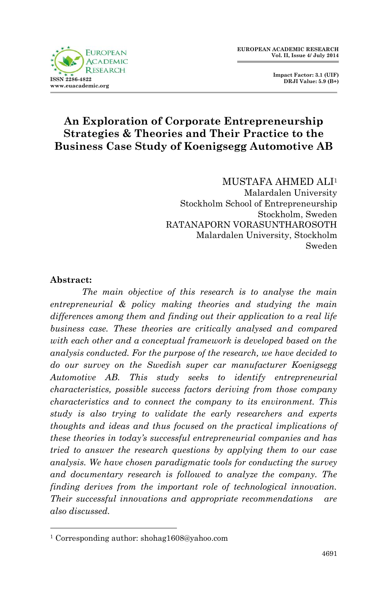

 **Impact Factor: 3.1 (UIF) DRJI Value: 5.9 (B+)**

# **An Exploration of Corporate Entrepreneurship Strategies & Theories and Their Practice to the Business Case Study of Koenigsegg Automotive AB**

MUSTAFA AHMED ALI<sup>1</sup> Malardalen University Stockholm School of Entrepreneurship

Stockholm, Sweden RATANAPORN VORASUNTHAROSOTH Malardalen University, Stockholm Sweden

#### **Abstract:**

1

*The main objective of this research is to analyse the main entrepreneurial & policy making theories and studying the main differences among them and finding out their application to a real life business case. These theories are critically analysed and compared with each other and a conceptual framework is developed based on the analysis conducted. For the purpose of the research, we have decided to do our survey on the Swedish super car manufacturer Koenigsegg Automotive AB. This study seeks to identify entrepreneurial characteristics, possible success factors deriving from those company characteristics and to connect the company to its environment. This study is also trying to validate the early researchers and experts thoughts and ideas and thus focused on the practical implications of these theories in today's successful entrepreneurial companies and has tried to answer the research questions by applying them to our case analysis. We have chosen paradigmatic tools for conducting the survey and documentary research is followed to analyze the company. The finding derives from the important role of technological innovation. Their successful innovations and appropriate recommendations are also discussed.*

<sup>1</sup> Corresponding author: shohag1608@yahoo.com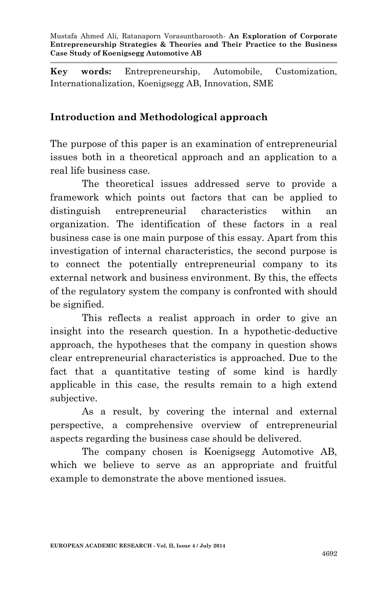**Key words:** Entrepreneurship, Automobile, Customization, Internationalization, Koenigsegg AB, Innovation, SME

### **Introduction and Methodological approach**

The purpose of this paper is an examination of entrepreneurial issues both in a theoretical approach and an application to a real life business case.

The theoretical issues addressed serve to provide a framework which points out factors that can be applied to distinguish entrepreneurial characteristics within an organization. The identification of these factors in a real business case is one main purpose of this essay. Apart from this investigation of internal characteristics, the second purpose is to connect the potentially entrepreneurial company to its external network and business environment. By this, the effects of the regulatory system the company is confronted with should be signified.

This reflects a realist approach in order to give an insight into the research question. In a hypothetic-deductive approach, the hypotheses that the company in question shows clear entrepreneurial characteristics is approached. Due to the fact that a quantitative testing of some kind is hardly applicable in this case, the results remain to a high extend subjective.

As a result, by covering the internal and external perspective, a comprehensive overview of entrepreneurial aspects regarding the business case should be delivered.

The company chosen is Koenigsegg Automotive AB, which we believe to serve as an appropriate and fruitful example to demonstrate the above mentioned issues.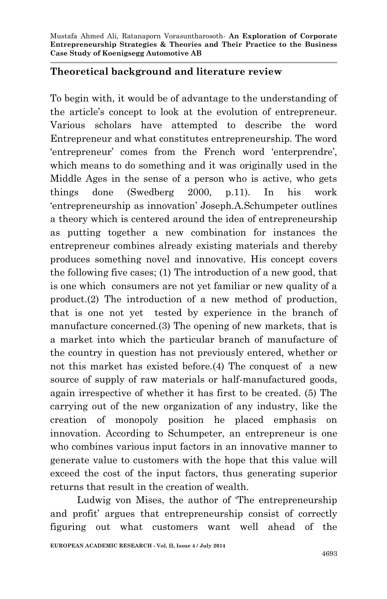#### **Theoretical background and literature review**

To begin with, it would be of advantage to the understanding of the article's concept to look at the evolution of entrepreneur. Various scholars have attempted to describe the word Entrepreneur and what constitutes entrepreneurship. The word 'entrepreneur' comes from the French word 'enterprendre', which means to do something and it was originally used in the Middle Ages in the sense of a person who is active, who gets things done (Swedberg 2000, p.11). In his work 'entrepreneurship as innovation' Joseph.A.Schumpeter outlines a theory which is centered around the idea of entrepreneurship as putting together a new combination for instances the entrepreneur combines already existing materials and thereby produces something novel and innovative. His concept covers the following five cases; (1) The introduction of a new good, that is one which consumers are not yet familiar or new quality of a product.(2) The introduction of a new method of production, that is one not yet tested by experience in the branch of manufacture concerned.(3) The opening of new markets, that is a market into which the particular branch of manufacture of the country in question has not previously entered, whether or not this market has existed before.(4) The conquest of a new source of supply of raw materials or half-manufactured goods, again irrespective of whether it has first to be created. (5) The carrying out of the new organization of any industry, like the creation of monopoly position he placed emphasis on innovation. According to Schumpeter, an entrepreneur is one who combines various input factors in an innovative manner to generate value to customers with the hope that this value will exceed the cost of the input factors, thus generating superior returns that result in the creation of wealth.

 Ludwig von Mises, the author of 'The entrepreneurship and profit' argues that entrepreneurship consist of correctly figuring out what customers want well ahead of the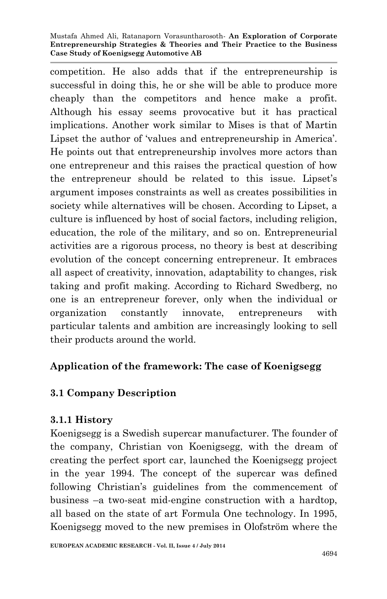competition. He also adds that if the entrepreneurship is successful in doing this, he or she will be able to produce more cheaply than the competitors and hence make a profit. Although his essay seems provocative but it has practical implications. Another work similar to Mises is that of Martin Lipset the author of 'values and entrepreneurship in America'. He points out that entrepreneurship involves more actors than one entrepreneur and this raises the practical question of how the entrepreneur should be related to this issue. Lipset's argument imposes constraints as well as creates possibilities in society while alternatives will be chosen. According to Lipset, a culture is influenced by host of social factors, including religion, education, the role of the military, and so on. Entrepreneurial activities are a rigorous process, no theory is best at describing evolution of the concept concerning entrepreneur. It embraces all aspect of creativity, innovation, adaptability to changes, risk taking and profit making. According to Richard Swedberg, no one is an entrepreneur forever, only when the individual or organization constantly innovate, entrepreneurs with particular talents and ambition are increasingly looking to sell their products around the world.

## **Application of the framework: The case of Koenigsegg**

# **3.1 Company Description**

## **3.1.1 History**

Koenigsegg is a Swedish supercar manufacturer. The founder of the company, Christian von Koenigsegg, with the dream of creating the perfect sport car, launched the Koenigsegg project in the year 1994. The concept of the supercar was defined following Christian's guidelines from the commencement of business –a two-seat mid-engine construction with a hardtop, all based on the state of art Formula One technology. In 1995, Koenigsegg moved to the new premises in Olofström where the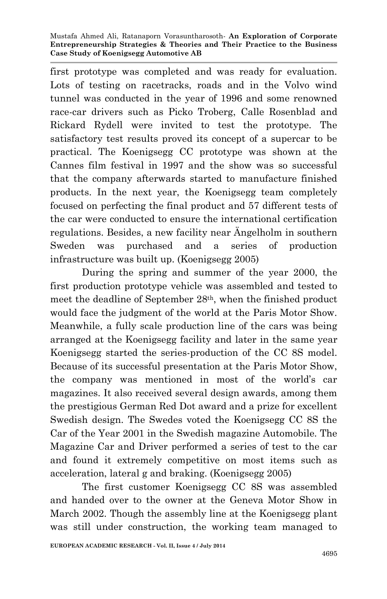first prototype was completed and was ready for evaluation. Lots of testing on racetracks, roads and in the Volvo wind tunnel was conducted in the year of 1996 and some renowned race-car drivers such as Picko Troberg, Calle Rosenblad and Rickard Rydell were invited to test the prototype. The satisfactory test results proved its concept of a supercar to be practical. The Koenigsegg CC prototype was shown at the Cannes film festival in 1997 and the show was so successful that the company afterwards started to manufacture finished products. In the next year, the Koenigsegg team completely focused on perfecting the final product and 57 different tests of the car were conducted to ensure the international certification regulations. Besides, a new facility near Ängelholm in southern Sweden was purchased and a series of production infrastructure was built up. (Koenigsegg 2005)

During the spring and summer of the year 2000, the first production prototype vehicle was assembled and tested to meet the deadline of September 28th, when the finished product would face the judgment of the world at the Paris Motor Show. Meanwhile, a fully scale production line of the cars was being arranged at the Koenigsegg facility and later in the same year Koenigsegg started the series-production of the CC 8S model. Because of its successful presentation at the Paris Motor Show, the company was mentioned in most of the world's car magazines. It also received several design awards, among them the prestigious German Red Dot award and a prize for excellent Swedish design. The Swedes voted the Koenigsegg CC 8S the Car of the Year 2001 in the Swedish magazine Automobile. The Magazine Car and Driver performed a series of test to the car and found it extremely competitive on most items such as acceleration, lateral g and braking. (Koenigsegg 2005)

The first customer Koenigsegg CC 8S was assembled and handed over to the owner at the Geneva Motor Show in March 2002. Though the assembly line at the Koenigsegg plant was still under construction, the working team managed to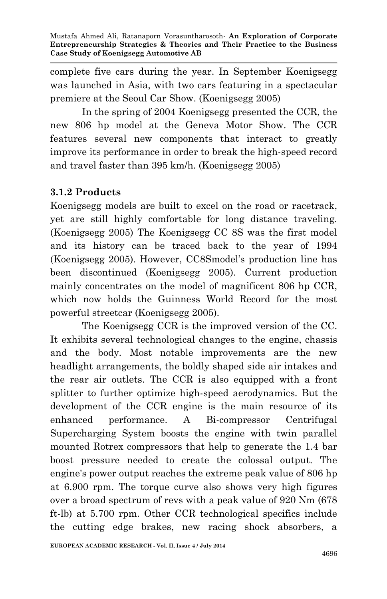complete five cars during the year. In September Koenigsegg was launched in Asia, with two cars featuring in a spectacular premiere at the Seoul Car Show. (Koenigsegg 2005)

In the spring of 2004 Koenigsegg presented the CCR, the new 806 hp model at the Geneva Motor Show. The CCR features several new components that interact to greatly improve its performance in order to break the high-speed record and travel faster than 395 km/h. (Koenigsegg 2005)

## **3.1.2 Products**

Koenigsegg models are built to excel on the road or racetrack, yet are still highly comfortable for long distance traveling. (Koenigsegg 2005) The Koenigsegg CC 8S was the first model and its history can be traced back to the year of 1994 (Koenigsegg 2005). However, CC8Smodel's production line has been discontinued (Koenigsegg 2005). Current production mainly concentrates on the model of magnificent 806 hp CCR, which now holds the Guinness World Record for the most powerful streetcar (Koenigsegg 2005).

The Koenigsegg CCR is the improved version of the CC. It exhibits several technological changes to the engine, chassis and the body. Most notable improvements are the new headlight arrangements, the boldly shaped side air intakes and the rear air outlets. The CCR is also equipped with a front splitter to further optimize high-speed aerodynamics. But the development of the CCR engine is the main resource of its enhanced performance. A Bi-compressor Centrifugal Supercharging System boosts the engine with twin parallel mounted Rotrex compressors that help to generate the 1.4 bar boost pressure needed to create the colossal output. The engine's power output reaches the extreme peak value of 806 hp at 6.900 rpm. The torque curve also shows very high figures over a broad spectrum of revs with a peak value of 920 Nm (678 ft-lb) at 5.700 rpm. Other CCR technological specifics include the cutting edge brakes, new racing shock absorbers, a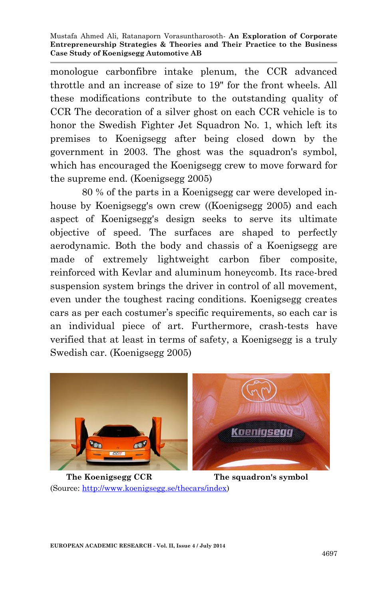monologue carbonfibre intake plenum, the CCR advanced throttle and an increase of size to 19" for the front wheels. All these modifications contribute to the outstanding quality of CCR The decoration of a silver ghost on each CCR vehicle is to honor the Swedish Fighter Jet Squadron No. 1, which left its premises to Koenigsegg after being closed down by the government in 2003. The ghost was the squadron's symbol, which has encouraged the Koenigsegg crew to move forward for the supreme end. (Koenigsegg 2005)

80 % of the parts in a Koenigsegg car were developed inhouse by Koenigsegg's own crew ((Koenigsegg 2005) and each aspect of Koenigsegg's design seeks to serve its ultimate objective of speed. The surfaces are shaped to perfectly aerodynamic. Both the body and chassis of a Koenigsegg are made of extremely lightweight carbon fiber composite, reinforced with Kevlar and aluminum honeycomb. Its race-bred suspension system brings the driver in control of all movement, even under the toughest racing conditions. Koenigsegg creates cars as per each costumer's specific requirements, so each car is an individual piece of art. Furthermore, crash-tests have verified that at least in terms of safety, a Koenigsegg is a truly Swedish car. (Koenigsegg 2005)



 **The Koenigsegg CCR The squadron's symbol** (Source: [http://www.koenigsegg.se/thecars/index\)](http://www.koenigsegg.se/thecars/index)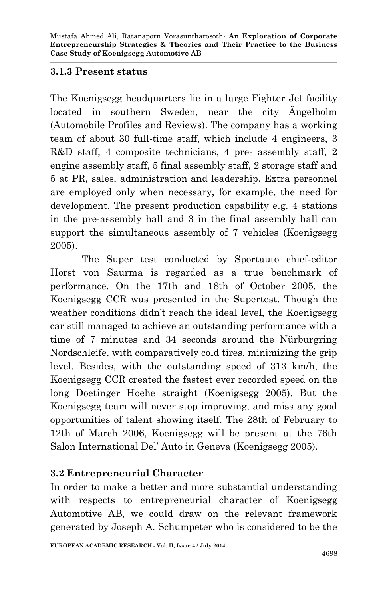### **3.1.3 Present status**

The Koenigsegg headquarters lie in a large Fighter Jet facility located in southern Sweden, near the city Ängelholm (Automobile Profiles and Reviews). The company has a working team of about 30 full-time staff, which include 4 engineers, 3 R&D staff, 4 composite technicians, 4 pre- assembly staff, 2 engine assembly staff, 5 final assembly staff, 2 storage staff and 5 at PR, sales, administration and leadership. Extra personnel are employed only when necessary, for example, the need for development. The present production capability e.g. 4 stations in the pre-assembly hall and 3 in the final assembly hall can support the simultaneous assembly of 7 vehicles (Koenigsegg 2005).

The Super test conducted by Sportauto chief-editor Horst von Saurma is regarded as a true benchmark of performance. On the 17th and 18th of October 2005, the Koenigsegg CCR was presented in the Supertest. Though the weather conditions didn't reach the ideal level, the Koenigsegg car still managed to achieve an outstanding performance with a time of 7 minutes and 34 seconds around the Nürburgring Nordschleife, with comparatively cold tires, minimizing the grip level. Besides, with the outstanding speed of 313 km/h, the Koenigsegg CCR created the fastest ever recorded speed on the long Doetinger Hoehe straight (Koenigsegg 2005). But the Koenigsegg team will never stop improving, and miss any good opportunities of talent showing itself. The 28th of February to 12th of March 2006, Koenigsegg will be present at the 76th Salon International Del' Auto in Geneva (Koenigsegg 2005).

# **3.2 Entrepreneurial Character**

In order to make a better and more substantial understanding with respects to entrepreneurial character of Koenigsegg Automotive AB, we could draw on the relevant framework generated by Joseph A. Schumpeter who is considered to be the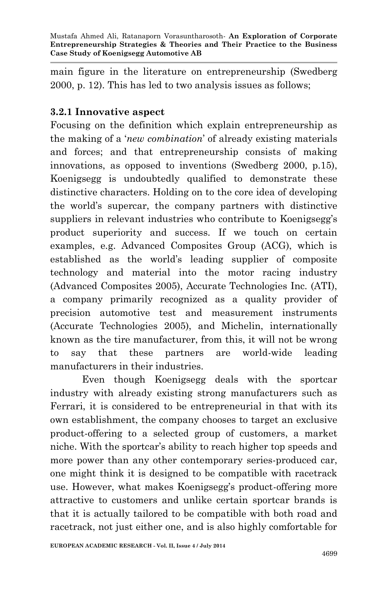main figure in the literature on entrepreneurship (Swedberg 2000, p. 12). This has led to two analysis issues as follows;

## **3.2.1 Innovative aspect**

Focusing on the definition which explain entrepreneurship as the making of a '*new combination*' of already existing materials and forces; and that entrepreneurship consists of making innovations, as opposed to inventions (Swedberg 2000, p.15), Koenigsegg is undoubtedly qualified to demonstrate these distinctive characters. Holding on to the core idea of developing the world's supercar, the company partners with distinctive suppliers in relevant industries who contribute to Koenigsegg's product superiority and success. If we touch on certain examples, e.g. Advanced Composites Group (ACG), which is established as the world's leading supplier of composite technology and material into the motor racing industry (Advanced Composites 2005), Accurate Technologies Inc. (ATI), a company primarily recognized as a quality provider of precision automotive test and measurement instruments (Accurate Technologies 2005), and Michelin, internationally known as the tire manufacturer, from this, it will not be wrong to say that these partners are world-wide leading manufacturers in their industries.

Even though Koenigsegg deals with the sportcar industry with already existing strong manufacturers such as Ferrari, it is considered to be entrepreneurial in that with its own establishment, the company chooses to target an exclusive product-offering to a selected group of customers, a market niche. With the sportcar's ability to reach higher top speeds and more power than any other contemporary series-produced car, one might think it is designed to be compatible with racetrack use. However, what makes Koenigsegg's product-offering more attractive to customers and unlike certain sportcar brands is that it is actually tailored to be compatible with both road and racetrack, not just either one, and is also highly comfortable for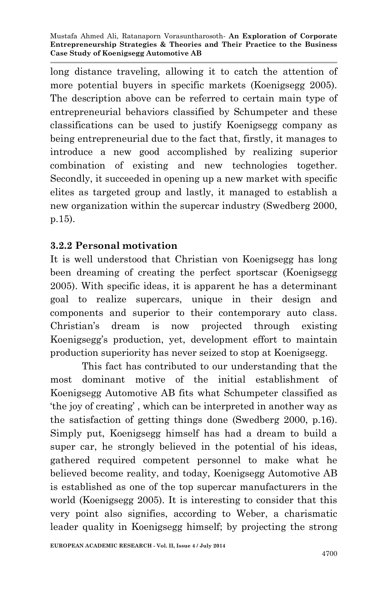long distance traveling, allowing it to catch the attention of more potential buyers in specific markets (Koenigsegg 2005). The description above can be referred to certain main type of entrepreneurial behaviors classified by Schumpeter and these classifications can be used to justify Koenigsegg company as being entrepreneurial due to the fact that, firstly, it manages to introduce a new good accomplished by realizing superior combination of existing and new technologies together. Secondly, it succeeded in opening up a new market with specific elites as targeted group and lastly, it managed to establish a new organization within the supercar industry (Swedberg 2000, p.15).

# **3.2.2 Personal motivation**

It is well understood that Christian von Koenigsegg has long been dreaming of creating the perfect sportscar (Koenigsegg 2005). With specific ideas, it is apparent he has a determinant goal to realize supercars, unique in their design and components and superior to their contemporary auto class. Christian's dream is now projected through existing Koenigsegg's production, yet, development effort to maintain production superiority has never seized to stop at Koenigsegg.

This fact has contributed to our understanding that the most dominant motive of the initial establishment of Koenigsegg Automotive AB fits what Schumpeter classified as 'the joy of creating' , which can be interpreted in another way as the satisfaction of getting things done (Swedberg 2000, p.16). Simply put, Koenigsegg himself has had a dream to build a super car, he strongly believed in the potential of his ideas, gathered required competent personnel to make what he believed become reality, and today, Koenigsegg Automotive AB is established as one of the top supercar manufacturers in the world (Koenigsegg 2005). It is interesting to consider that this very point also signifies, according to Weber, a charismatic leader quality in Koenigsegg himself; by projecting the strong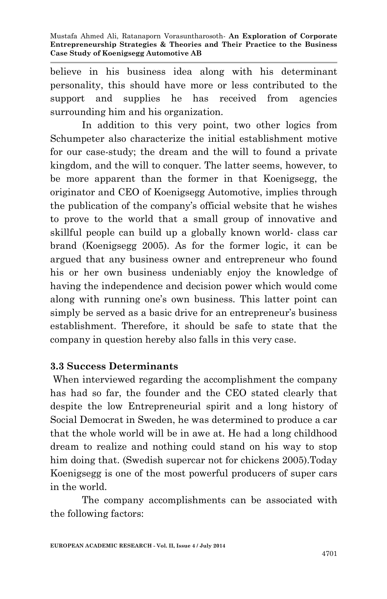believe in his business idea along with his determinant personality, this should have more or less contributed to the support and supplies he has received from agencies surrounding him and his organization.

In addition to this very point, two other logics from Schumpeter also characterize the initial establishment motive for our case-study; the dream and the will to found a private kingdom, and the will to conquer. The latter seems, however, to be more apparent than the former in that Koenigsegg, the originator and CEO of Koenigsegg Automotive, implies through the publication of the company's official website that he wishes to prove to the world that a small group of innovative and skillful people can build up a globally known world- class car brand (Koenigsegg 2005). As for the former logic, it can be argued that any business owner and entrepreneur who found his or her own business undeniably enjoy the knowledge of having the independence and decision power which would come along with running one's own business. This latter point can simply be served as a basic drive for an entrepreneur's business establishment. Therefore, it should be safe to state that the company in question hereby also falls in this very case.

#### **3.3 Success Determinants**

When interviewed regarding the accomplishment the company has had so far, the founder and the CEO stated clearly that despite the low Entrepreneurial spirit and a long history of Social Democrat in Sweden, he was determined to produce a car that the whole world will be in awe at. He had a long childhood dream to realize and nothing could stand on his way to stop him doing that. (Swedish supercar not for chickens 2005).Today Koenigsegg is one of the most powerful producers of super cars in the world.

The company accomplishments can be associated with the following factors: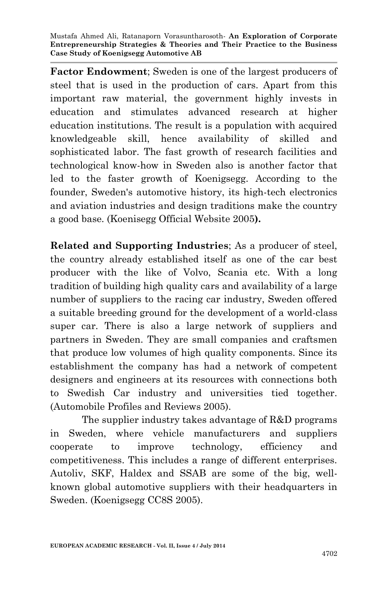**Factor Endowment**; Sweden is one of the largest producers of steel that is used in the production of cars. Apart from this important raw material, the government highly invests in education and stimulates advanced research at higher education institutions. The result is a population with acquired knowledgeable skill, hence availability of skilled and sophisticated labor. The fast growth of research facilities and technological know-how in Sweden also is another factor that led to the faster growth of Koenigsegg. According to the founder, Sweden's automotive history, its high-tech electronics and aviation industries and design traditions make the country a good base. (Koenisegg Official Website 2005**).**

**Related and Supporting Industries**; As a producer of steel, the country already established itself as one of the car best producer with the like of Volvo, Scania etc. With a long tradition of building high quality cars and availability of a large number of suppliers to the racing car industry, Sweden offered a suitable breeding ground for the development of a world-class super car. There is also a large network of suppliers and partners in Sweden. They are small companies and craftsmen that produce low volumes of high quality components. Since its establishment the company has had a network of competent designers and engineers at its resources with connections both to Swedish Car industry and universities tied together. (Automobile Profiles and Reviews 2005).

The supplier industry takes advantage of R&D programs in Sweden, where vehicle manufacturers and suppliers cooperate to improve technology, efficiency and competitiveness. This includes a range of different enterprises. Autoliv, SKF, Haldex and SSAB are some of the big, wellknown global automotive suppliers with their headquarters in Sweden. (Koenigsegg CC8S 2005).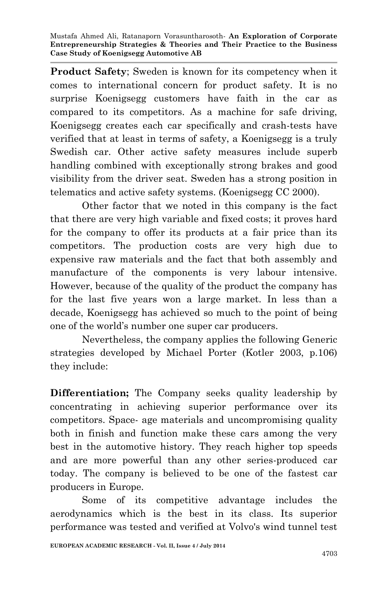**Product Safety**; Sweden is known for its competency when it comes to international concern for product safety. It is no surprise Koenigsegg customers have faith in the car as compared to its competitors. As a machine for safe driving, Koenigsegg creates each car specifically and crash-tests have verified that at least in terms of safety, a Koenigsegg is a truly Swedish car. Other active safety measures include superb handling combined with exceptionally strong brakes and good visibility from the driver seat. Sweden has a strong position in telematics and active safety systems. (Koenigsegg CC 2000).

Other factor that we noted in this company is the fact that there are very high variable and fixed costs; it proves hard for the company to offer its products at a fair price than its competitors. The production costs are very high due to expensive raw materials and the fact that both assembly and manufacture of the components is very labour intensive. However, because of the quality of the product the company has for the last five years won a large market. In less than a decade, Koenigsegg has achieved so much to the point of being one of the world's number one super car producers.

Nevertheless, the company applies the following Generic strategies developed by Michael Porter (Kotler 2003, p.106) they include:

**Differentiation;** The Company seeks quality leadership by concentrating in achieving superior performance over its competitors. Space- age materials and uncompromising quality both in finish and function make these cars among the very best in the automotive history. They reach higher top speeds and are more powerful than any other series-produced car today. The company is believed to be one of the fastest car producers in Europe.

Some of its competitive advantage includes the aerodynamics which is the best in its class. Its superior performance was tested and verified at Volvo's wind tunnel test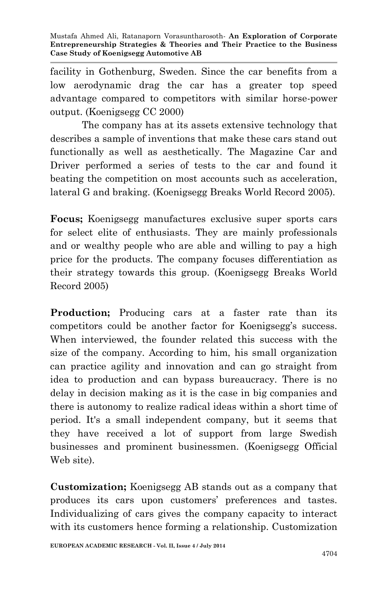facility in Gothenburg, Sweden. Since the car benefits from a low aerodynamic drag the car has a greater top speed advantage compared to competitors with similar horse-power output. (Koenigsegg CC 2000)

The company has at its assets extensive technology that describes a sample of inventions that make these cars stand out functionally as well as aesthetically. The Magazine Car and Driver performed a series of tests to the car and found it beating the competition on most accounts such as acceleration, lateral G and braking. (Koenigsegg Breaks World Record 2005).

**Focus;** Koenigsegg manufactures exclusive super sports cars for select elite of enthusiasts. They are mainly professionals and or wealthy people who are able and willing to pay a high price for the products. The company focuses differentiation as their strategy towards this group. (Koenigsegg Breaks World Record 2005)

**Production;** Producing cars at a faster rate than its competitors could be another factor for Koenigsegg's success. When interviewed, the founder related this success with the size of the company. According to him, his small organization can practice agility and innovation and can go straight from idea to production and can bypass bureaucracy. There is no delay in decision making as it is the case in big companies and there is autonomy to realize radical ideas within a short time of period. It's a small independent company, but it seems that they have received a lot of support from large Swedish businesses and prominent businessmen. (Koenigsegg Official Web site).

**Customization;** Koenigsegg AB stands out as a company that produces its cars upon customers' preferences and tastes. Individualizing of cars gives the company capacity to interact with its customers hence forming a relationship. Customization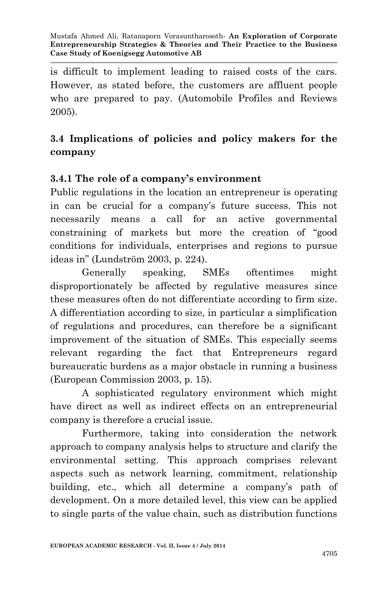is difficult to implement leading to raised costs of the cars. However, as stated before, the customers are affluent people who are prepared to pay. (Automobile Profiles and Reviews 2005).

# **3.4 Implications of policies and policy makers for the company**

## **3.4.1 The role of a company's environment**

Public regulations in the location an entrepreneur is operating in can be crucial for a company's future success. This not necessarily means a call for an active governmental constraining of markets but more the creation of "good conditions for individuals, enterprises and regions to pursue ideas in" (Lundström 2003, p. 224).

Generally speaking, SMEs oftentimes might disproportionately be affected by regulative measures since these measures often do not differentiate according to firm size. A differentiation according to size, in particular a simplification of regulations and procedures, can therefore be a significant improvement of the situation of SMEs. This especially seems relevant regarding the fact that Entrepreneurs regard bureaucratic burdens as a major obstacle in running a business (European Commission 2003, p. 15).

A sophisticated regulatory environment which might have direct as well as indirect effects on an entrepreneurial company is therefore a crucial issue.

Furthermore, taking into consideration the network approach to company analysis helps to structure and clarify the environmental setting. This approach comprises relevant aspects such as network learning, commitment, relationship building, etc., which all determine a company's path of development. On a more detailed level, this view can be applied to single parts of the value chain, such as distribution functions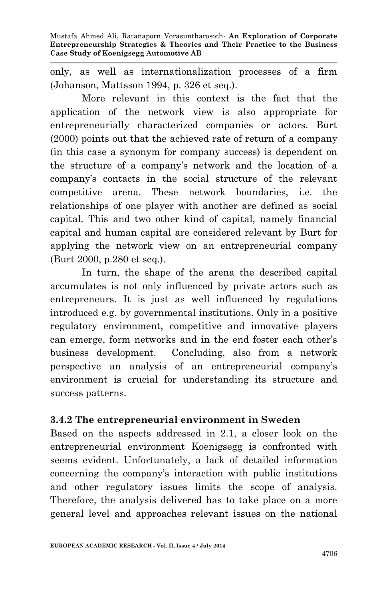only, as well as internationalization processes of a firm (Johanson, Mattsson 1994, p. 326 et seq.).

More relevant in this context is the fact that the application of the network view is also appropriate for entrepreneurially characterized companies or actors. Burt (2000) points out that the achieved rate of return of a company (in this case a synonym for company success) is dependent on the structure of a company's network and the location of a company's contacts in the social structure of the relevant competitive arena. These network boundaries, i.e. the relationships of one player with another are defined as social capital. This and two other kind of capital, namely financial capital and human capital are considered relevant by Burt for applying the network view on an entrepreneurial company (Burt 2000, p.280 et seq.).

In turn, the shape of the arena the described capital accumulates is not only influenced by private actors such as entrepreneurs. It is just as well influenced by regulations introduced e.g. by governmental institutions. Only in a positive regulatory environment, competitive and innovative players can emerge, form networks and in the end foster each other's business development. Concluding, also from a network perspective an analysis of an entrepreneurial company's environment is crucial for understanding its structure and success patterns.

#### **3.4.2 The entrepreneurial environment in Sweden**

Based on the aspects addressed in 2.1, a closer look on the entrepreneurial environment Koenigsegg is confronted with seems evident. Unfortunately, a lack of detailed information concerning the company's interaction with public institutions and other regulatory issues limits the scope of analysis. Therefore, the analysis delivered has to take place on a more general level and approaches relevant issues on the national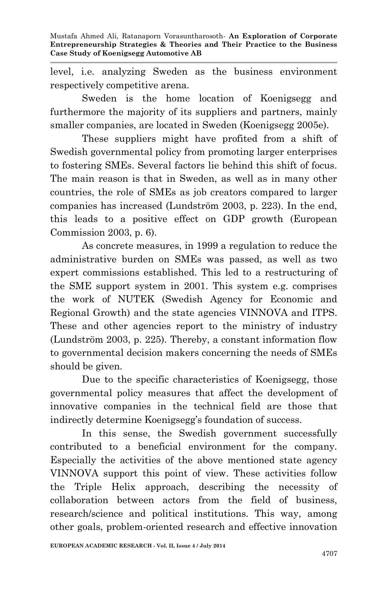level, i.e. analyzing Sweden as the business environment respectively competitive arena.

Sweden is the home location of Koenigsegg and furthermore the majority of its suppliers and partners, mainly smaller companies, are located in Sweden (Koenigsegg 2005e).

These suppliers might have profited from a shift of Swedish governmental policy from promoting larger enterprises to fostering SMEs. Several factors lie behind this shift of focus. The main reason is that in Sweden, as well as in many other countries, the role of SMEs as job creators compared to larger companies has increased (Lundström 2003, p. 223). In the end, this leads to a positive effect on GDP growth (European Commission 2003, p. 6).

As concrete measures, in 1999 a regulation to reduce the administrative burden on SMEs was passed, as well as two expert commissions established. This led to a restructuring of the SME support system in 2001. This system e.g. comprises the work of NUTEK (Swedish Agency for Economic and Regional Growth) and the state agencies VINNOVA and ITPS. These and other agencies report to the ministry of industry (Lundström 2003, p. 225). Thereby, a constant information flow to governmental decision makers concerning the needs of SMEs should be given.

Due to the specific characteristics of Koenigsegg, those governmental policy measures that affect the development of innovative companies in the technical field are those that indirectly determine Koenigsegg's foundation of success.

In this sense, the Swedish government successfully contributed to a beneficial environment for the company. Especially the activities of the above mentioned state agency VINNOVA support this point of view. These activities follow the Triple Helix approach, describing the necessity of collaboration between actors from the field of business, research/science and political institutions. This way, among other goals, problem-oriented research and effective innovation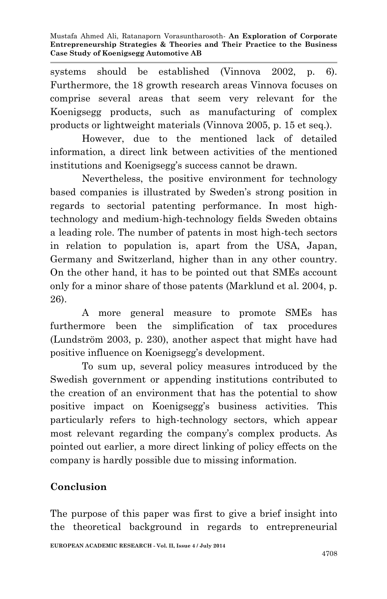systems should be established (Vinnova 2002, p. 6). Furthermore, the 18 growth research areas Vinnova focuses on comprise several areas that seem very relevant for the Koenigsegg products, such as manufacturing of complex products or lightweight materials (Vinnova 2005, p. 15 et seq.).

However, due to the mentioned lack of detailed information, a direct link between activities of the mentioned institutions and Koenigsegg's success cannot be drawn.

Nevertheless, the positive environment for technology based companies is illustrated by Sweden's strong position in regards to sectorial patenting performance. In most hightechnology and medium-high-technology fields Sweden obtains a leading role. The number of patents in most high-tech sectors in relation to population is, apart from the USA, Japan, Germany and Switzerland, higher than in any other country. On the other hand, it has to be pointed out that SMEs account only for a minor share of those patents (Marklund et al. 2004, p. 26).

A more general measure to promote SMEs has furthermore been the simplification of tax procedures (Lundström 2003, p. 230), another aspect that might have had positive influence on Koenigsegg's development.

To sum up, several policy measures introduced by the Swedish government or appending institutions contributed to the creation of an environment that has the potential to show positive impact on Koenigsegg's business activities. This particularly refers to high-technology sectors, which appear most relevant regarding the company's complex products. As pointed out earlier, a more direct linking of policy effects on the company is hardly possible due to missing information.

# **Conclusion**

The purpose of this paper was first to give a brief insight into the theoretical background in regards to entrepreneurial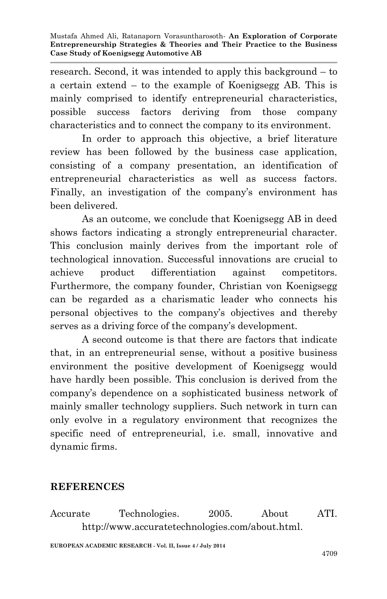research. Second, it was intended to apply this background – to a certain extend – to the example of Koenigsegg AB. This is mainly comprised to identify entrepreneurial characteristics, possible success factors deriving from those company characteristics and to connect the company to its environment.

In order to approach this objective, a brief literature review has been followed by the business case application, consisting of a company presentation, an identification of entrepreneurial characteristics as well as success factors. Finally, an investigation of the company's environment has been delivered.

As an outcome, we conclude that Koenigsegg AB in deed shows factors indicating a strongly entrepreneurial character. This conclusion mainly derives from the important role of technological innovation. Successful innovations are crucial to achieve product differentiation against competitors. Furthermore, the company founder, Christian von Koenigsegg can be regarded as a charismatic leader who connects his personal objectives to the company's objectives and thereby serves as a driving force of the company's development.

A second outcome is that there are factors that indicate that, in an entrepreneurial sense, without a positive business environment the positive development of Koenigsegg would have hardly been possible. This conclusion is derived from the company's dependence on a sophisticated business network of mainly smaller technology suppliers. Such network in turn can only evolve in a regulatory environment that recognizes the specific need of entrepreneurial, i.e. small, innovative and dynamic firms.

#### **REFERENCES**

Accurate Technologies. 2005. About ATI. http://www.accuratetechnologies.com/about.html.

**EUROPEAN ACADEMIC RESEARCH - Vol. II, Issue 4 / July 2014**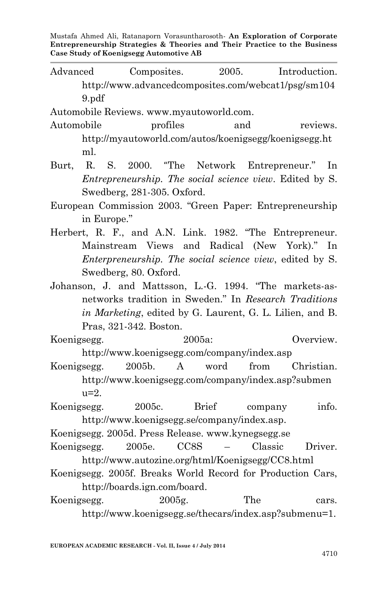Advanced Composites. 2005. Introduction. http://www.advancedcomposites.com/webcat1/psg/sm104 9.pdf

Automobile Reviews. www.myautoworld.com.

- Automobile profiles and reviews. http://myautoworld.com/autos/koenigsegg/koenigsegg.ht ml.
- Burt, R. S. 2000. "The Network Entrepreneur." In *Entrepreneurship. The social science view*. Edited by S. Swedberg, 281-305. Oxford.
- European Commission 2003. "Green Paper: Entrepreneurship in Europe."
- Herbert, R. F., and A.N. Link. 1982. "The Entrepreneur. Mainstream Views and Radical (New York)." In *Enterpreneurship. The social science view*, edited by S. Swedberg, 80. Oxford.
- Johanson, J. and Mattsson, L.-G. 1994. "The markets-asnetworks tradition in Sweden." In *Research Traditions in Marketing*, edited by G. Laurent, G. L. Lilien, and B. Pras, 321-342. Boston.
- Koenigsegg. 2005a: Overview. http://www.koenigsegg.com/company/index.asp
- Koenigsegg. 2005b. A word from Christian. http://www.koenigsegg.com/company/index.asp?submen  $u=2$ .

Koenigsegg. 2005c. Brief company info. http://www.koenigsegg.se/company/index.asp.

Koenigsegg. 2005d. Press Release. www.kynegsegg.se

- Koenigsegg. 2005e. CC8S Classic Driver. http://www.autozine.org/html/Koenigsegg/CC8.html
- Koenigsegg. 2005f. Breaks World Record for Production Cars, http://boards.ign.com/board.
- Koenigsegg. 2005g. The cars. [http://www.koenigsegg.se/thecars/index.asp?submenu=1.](http://www.koenigsegg.se/thecars/index.asp?submenu=1)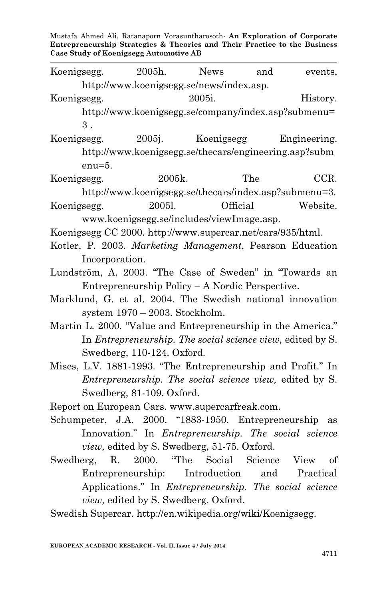|                                                                                                                                                                           | 2005h.                                                                                                                                                                                                     | <b>News</b> |          |                         |
|---------------------------------------------------------------------------------------------------------------------------------------------------------------------------|------------------------------------------------------------------------------------------------------------------------------------------------------------------------------------------------------------|-------------|----------|-------------------------|
| Koenigsegg.                                                                                                                                                               |                                                                                                                                                                                                            |             | and      | events,                 |
|                                                                                                                                                                           | http://www.koenigsegg.se/news/index.asp.                                                                                                                                                                   |             |          |                         |
| Koenigsegg.                                                                                                                                                               |                                                                                                                                                                                                            | 2005i.      |          | History.                |
|                                                                                                                                                                           | http://www.koenigsegg.se/company/index.asp?submenu=                                                                                                                                                        |             |          |                         |
| $3$ .                                                                                                                                                                     |                                                                                                                                                                                                            |             |          |                         |
| Koenigsegg.                                                                                                                                                               | 2005j.                                                                                                                                                                                                     |             |          | Koenigsegg Engineering. |
|                                                                                                                                                                           | http://www.koenigsegg.se/thecars/engineering.asp?subm                                                                                                                                                      |             |          |                         |
| $enu=5.$                                                                                                                                                                  |                                                                                                                                                                                                            |             |          |                         |
| Koenigsegg.                                                                                                                                                               | 2005k.                                                                                                                                                                                                     |             | The      | CCR.                    |
|                                                                                                                                                                           | http://www.koenigsegg.se/thecars/index.asp?submenu=3.                                                                                                                                                      |             |          |                         |
| Koenigsegg.                                                                                                                                                               | 20051.                                                                                                                                                                                                     |             | Official | Website.                |
|                                                                                                                                                                           | www.koenigsegg.se/includes/viewImage.asp.                                                                                                                                                                  |             |          |                         |
| Koenigsegg CC 2000. http://www.supercar.net/cars/935/html.                                                                                                                |                                                                                                                                                                                                            |             |          |                         |
| Kotler, P. 2003. Marketing Management, Pearson Education                                                                                                                  |                                                                                                                                                                                                            |             |          |                         |
| Incorporation.                                                                                                                                                            |                                                                                                                                                                                                            |             |          |                         |
| Lundström, A. 2003. "The Case of Sweden" in "Towards an                                                                                                                   |                                                                                                                                                                                                            |             |          |                         |
|                                                                                                                                                                           | Entrepreneurship Policy - A Nordic Perspective.                                                                                                                                                            |             |          |                         |
| Marklund, G. et al. 2004. The Swedish national innovation                                                                                                                 |                                                                                                                                                                                                            |             |          |                         |
|                                                                                                                                                                           | system $1970 - 2003$ . Stockholm.                                                                                                                                                                          |             |          |                         |
| Martin L. 2000. "Value and Entrepreneurship in the America."                                                                                                              |                                                                                                                                                                                                            |             |          |                         |
|                                                                                                                                                                           | In <i>Entrepreneurship. The social science view</i> , edited by S.                                                                                                                                         |             |          |                         |
|                                                                                                                                                                           | Swedberg, 110-124. Oxford.                                                                                                                                                                                 |             |          |                         |
|                                                                                                                                                                           |                                                                                                                                                                                                            |             |          |                         |
|                                                                                                                                                                           |                                                                                                                                                                                                            |             |          |                         |
|                                                                                                                                                                           |                                                                                                                                                                                                            |             |          |                         |
|                                                                                                                                                                           |                                                                                                                                                                                                            |             |          |                         |
|                                                                                                                                                                           |                                                                                                                                                                                                            |             |          |                         |
|                                                                                                                                                                           |                                                                                                                                                                                                            |             |          |                         |
|                                                                                                                                                                           |                                                                                                                                                                                                            |             |          |                         |
| Mises, L.V. 1881-1993. "The Entrepreneurship and Profit." In<br>Report on European Cars. www.supercarfreak.com.<br>Schumpeter, J.A. 2000. "1883-1950. Entrepreneurship as | <i>Entrepreneurship. The social science view, edited by S.</i><br>Swedberg, 81-109. Oxford.<br>Innovation." In <i>Entrepreneurship</i> . The social science<br>view, edited by S. Swedberg, 51-75. Oxford. |             |          |                         |

Swedberg, R. 2000. "The Social Science View of Entrepreneurship: Introduction and Practical Applications." In *Entrepreneurship. The social science view,* edited by S. Swedberg. Oxford.

Swedish Supercar. http://en.wikipedia.org/wiki/Koenigsegg.